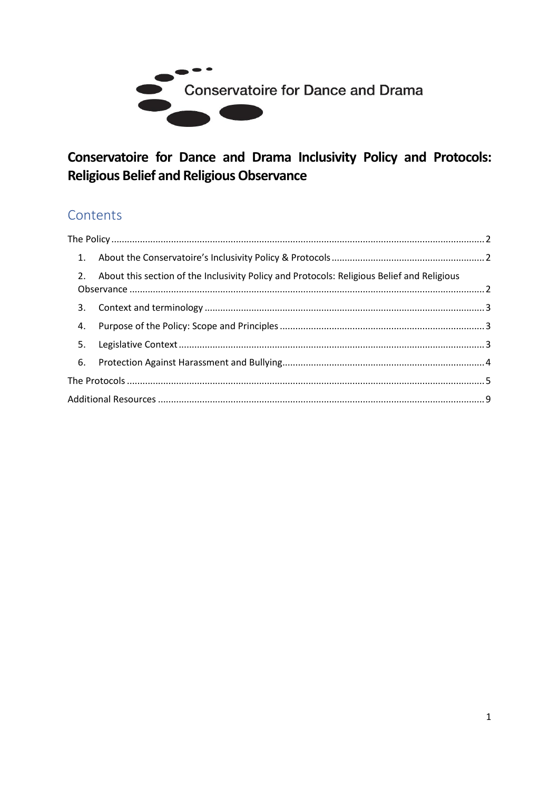

# Conservatoire for Dance and Drama Inclusivity Policy and Protocols: **Religious Belief and Religious Observance**

# Contents

|    | 2. About this section of the Inclusivity Policy and Protocols: Religious Belief and Religious |  |  |  |  |
|----|-----------------------------------------------------------------------------------------------|--|--|--|--|
|    |                                                                                               |  |  |  |  |
| 4. |                                                                                               |  |  |  |  |
|    |                                                                                               |  |  |  |  |
|    |                                                                                               |  |  |  |  |
|    |                                                                                               |  |  |  |  |
|    |                                                                                               |  |  |  |  |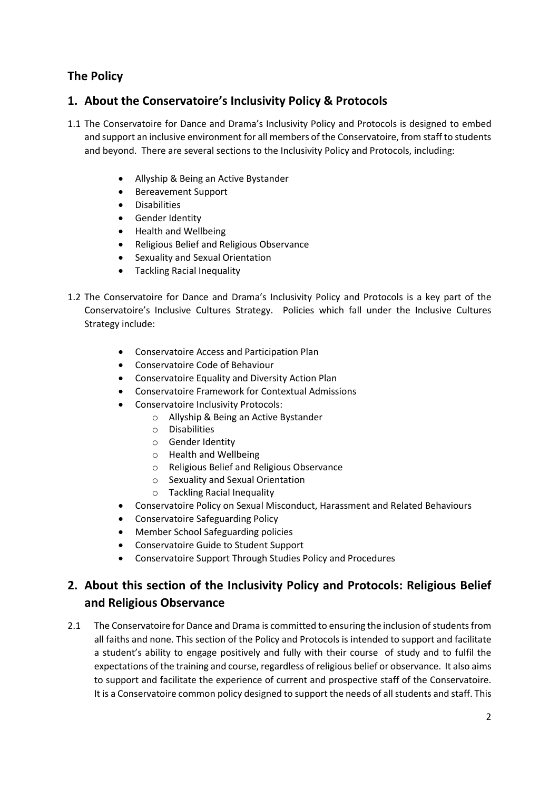# <span id="page-1-0"></span>**The Policy**

## <span id="page-1-1"></span>**1. About the Conservatoire's Inclusivity Policy & Protocols**

- 1.1 The Conservatoire for Dance and Drama's Inclusivity Policy and Protocols is designed to embed and support an inclusive environment for all members of the Conservatoire, from staff to students and beyond. There are several sections to the Inclusivity Policy and Protocols, including:
	- Allyship & Being an Active Bystander
	- Bereavement Support
	- **Disabilities**
	- Gender Identity
	- Health and Wellbeing
	- Religious Belief and Religious Observance
	- Sexuality and Sexual Orientation
	- Tackling Racial Inequality
- 1.2 The Conservatoire for Dance and Drama's Inclusivity Policy and Protocols is a key part of the Conservatoire's Inclusive Cultures Strategy. Policies which fall under the Inclusive Cultures Strategy include:
	- Conservatoire Access and Participation Plan
	- Conservatoire Code of Behaviour
	- Conservatoire Equality and Diversity Action Plan
	- Conservatoire Framework for Contextual Admissions
	- Conservatoire Inclusivity Protocols:
		- o Allyship & Being an Active Bystander
		- o Disabilities
		- o Gender Identity
		- o Health and Wellbeing
		- o Religious Belief and Religious Observance
		- o Sexuality and Sexual Orientation
		- o Tackling Racial Inequality
	- Conservatoire Policy on Sexual Misconduct, Harassment and Related Behaviours
	- Conservatoire Safeguarding Policy
	- Member School Safeguarding policies
	- Conservatoire Guide to Student Support
	- Conservatoire Support Through Studies Policy and Procedures

## <span id="page-1-2"></span>**2. About this section of the Inclusivity Policy and Protocols: Religious Belief and Religious Observance**

2.1 The Conservatoire for Dance and Drama is committed to ensuring the inclusion of students from all faiths and none. This section of the Policy and Protocols is intended to support and facilitate a student's ability to engage positively and fully with their course of study and to fulfil the expectations of the training and course, regardless of religious belief or observance. It also aims to support and facilitate the experience of current and prospective staff of the Conservatoire. It is a Conservatoire common policy designed to support the needs of all students and staff. This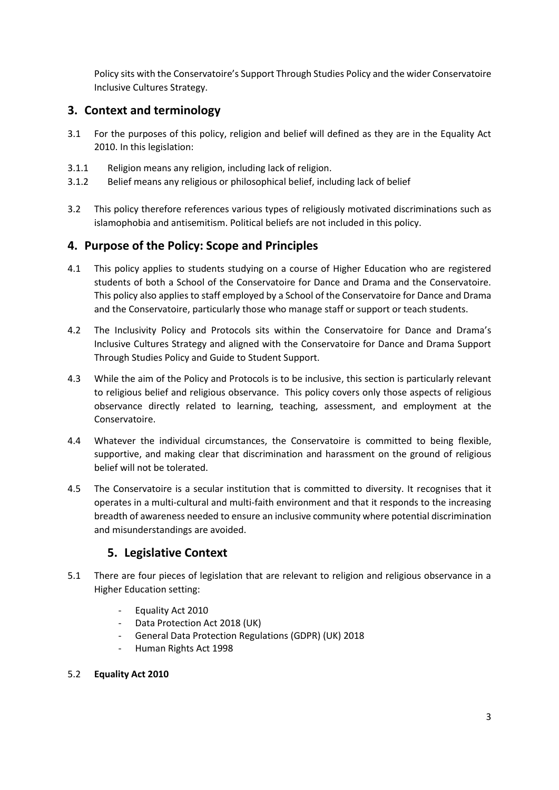Policy sits with the Conservatoire's Support Through Studies Policy and the wider Conservatoire Inclusive Cultures Strategy.

## <span id="page-2-0"></span>**3. Context and terminology**

- 3.1 For the purposes of this policy, religion and belief will defined as they are in the Equality Act 2010. In this legislation:
- 3.1.1 Religion means any religion, including lack of religion.
- 3.1.2 Belief means any religious or philosophical belief, including lack of belief
- 3.2 This policy therefore references various types of religiously motivated discriminations such as islamophobia and antisemitism. Political beliefs are not included in this policy.

## <span id="page-2-1"></span>**4. Purpose of the Policy: Scope and Principles**

- 4.1 This policy applies to students studying on a course of Higher Education who are registered students of both a School of the Conservatoire for Dance and Drama and the Conservatoire. This policy also applies to staff employed by a School of the Conservatoire for Dance and Drama and the Conservatoire, particularly those who manage staff or support or teach students.
- 4.2 The Inclusivity Policy and Protocols sits within the Conservatoire for Dance and Drama's Inclusive Cultures Strategy and aligned with the Conservatoire for Dance and Drama Support Through Studies Policy and Guide to Student Support.
- 4.3 While the aim of the Policy and Protocols is to be inclusive, this section is particularly relevant to religious belief and religious observance. This policy covers only those aspects of religious observance directly related to learning, teaching, assessment, and employment at the Conservatoire.
- 4.4 Whatever the individual circumstances, the Conservatoire is committed to being flexible, supportive, and making clear that discrimination and harassment on the ground of religious belief will not be tolerated.
- 4.5 The Conservatoire is a secular institution that is committed to diversity. It recognises that it operates in a multi-cultural and multi-faith environment and that it responds to the increasing breadth of awareness needed to ensure an inclusive community where potential discrimination and misunderstandings are avoided.

#### **5. Legislative Context**

- <span id="page-2-2"></span>5.1 There are four pieces of legislation that are relevant to religion and religious observance in a Higher Education setting:
	- Equality Act 2010
	- Data Protection Act 2018 (UK)
	- General Data Protection Regulations (GDPR) (UK) 2018
	- Human Rights Act 1998

#### 5.2 **Equality Act 2010**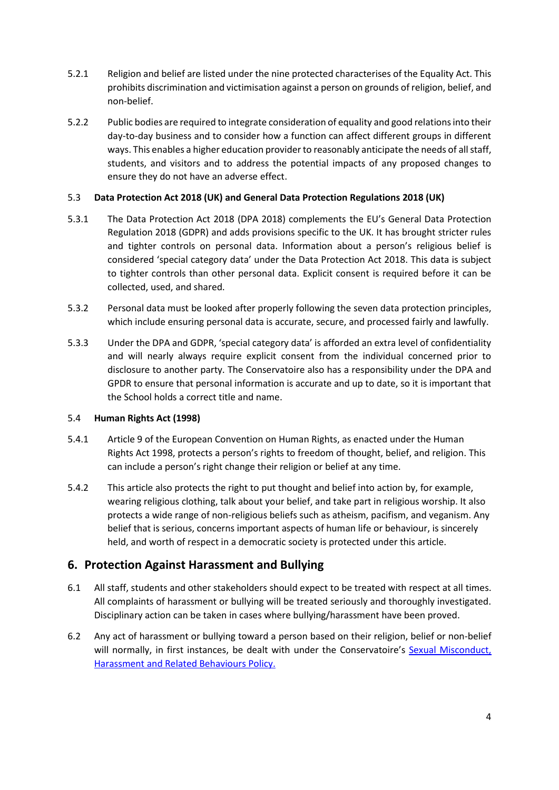- 5.2.1 Religion and belief are listed under the nine protected characterises of the Equality Act. This prohibits discrimination and victimisation against a person on grounds of religion, belief, and non-belief.
- 5.2.2 Public bodies are required to integrate consideration of equality and good relations into their day-to-day business and to consider how a function can affect different groups in different ways. This enables a higher education provider to reasonably anticipate the needs of allstaff, students, and visitors and to address the potential impacts of any proposed changes to ensure they do not have an adverse effect.

#### 5.3 **Data Protection Act 2018 (UK) and General Data Protection Regulations 2018 (UK)**

- 5.3.1 The Data Protection Act 2018 (DPA 2018) complements the EU's General Data Protection Regulation 2018 (GDPR) and adds provisions specific to the UK. It has brought stricter rules and tighter controls on personal data. Information about a person's religious belief is considered 'special category data' under the Data Protection Act 2018. This data is subject to tighter controls than other personal data. Explicit consent is required before it can be collected, used, and shared.
- 5.3.2 Personal data must be looked after properly following the seven data protection principles, which include ensuring personal data is accurate, secure, and processed fairly and lawfully.
- 5.3.3 Under the DPA and GDPR, 'special category data' is afforded an extra level of confidentiality and will nearly always require explicit consent from the individual concerned prior to disclosure to another party. The Conservatoire also has a responsibility under the DPA and GPDR to ensure that personal information is accurate and up to date, so it is important that the School holds a correct title and name.

#### 5.4 **Human Rights Act (1998)**

- 5.4.1 Article 9 of the European Convention on Human Rights, as enacted under the Human Rights Act 1998, protects a person's rights to freedom of thought, belief, and religion. This can include a person's right change their religion or belief at any time.
- 5.4.2 This article also protects the right to put thought and belief into action by, for example, wearing religious clothing, talk about your belief, and take part in religious worship. It also protects a wide range of non-religious beliefs such as atheism, pacifism, and veganism. Any belief that is serious, concerns important aspects of human life or behaviour, is sincerely held, and worth of respect in a democratic society is protected under this article.

#### <span id="page-3-0"></span>**6. Protection Against Harassment and Bullying**

- 6.1 All staff, students and other stakeholders should expect to be treated with respect at all times. All complaints of harassment or bullying will be treated seriously and thoroughly investigated. Disciplinary action can be taken in cases where bullying/harassment have been proved.
- 6.2 Any act of harassment or bullying toward a person based on their religion, belief or non-belief will normally, in first instances, be dealt with under the Conservatoire's [Sexual Misconduct,](http://www.cdd.ac.uk/policies/student-related-policies/)  [Harassment and Related Behaviours Policy.](http://www.cdd.ac.uk/policies/student-related-policies/)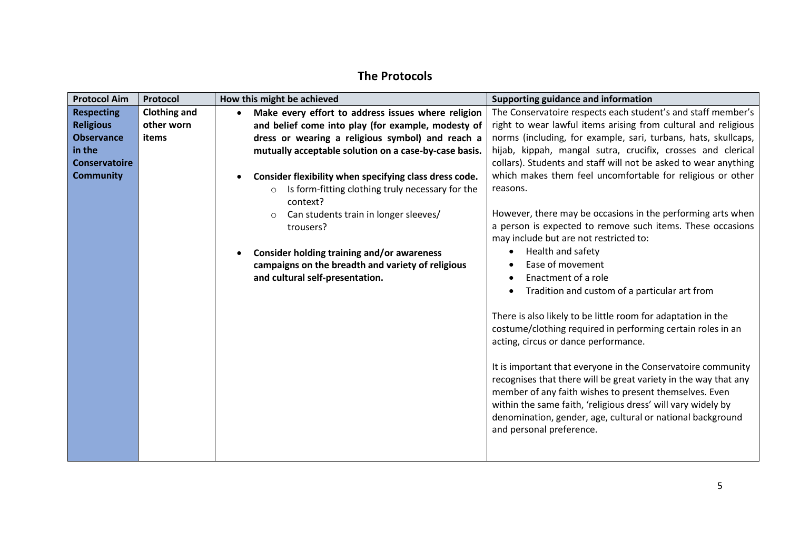# **The Protocols**

<span id="page-4-0"></span>

| <b>Protocol Aim</b>  | Protocol            | How this might be achieved                                              | Supporting guidance and information                                                                                                                                                                                                                                                                                                                 |
|----------------------|---------------------|-------------------------------------------------------------------------|-----------------------------------------------------------------------------------------------------------------------------------------------------------------------------------------------------------------------------------------------------------------------------------------------------------------------------------------------------|
| <b>Respecting</b>    | <b>Clothing and</b> | Make every effort to address issues where religion<br>$\bullet$         | The Conservatoire respects each student's and staff member's                                                                                                                                                                                                                                                                                        |
| <b>Religious</b>     | other worn          | and belief come into play (for example, modesty of                      | right to wear lawful items arising from cultural and religious                                                                                                                                                                                                                                                                                      |
| <b>Observance</b>    | items               | dress or wearing a religious symbol) and reach a                        | norms (including, for example, sari, turbans, hats, skullcaps,                                                                                                                                                                                                                                                                                      |
| in the               |                     | mutually acceptable solution on a case-by-case basis.                   | hijab, kippah, mangal sutra, crucifix, crosses and clerical                                                                                                                                                                                                                                                                                         |
| <b>Conservatoire</b> |                     |                                                                         | collars). Students and staff will not be asked to wear anything                                                                                                                                                                                                                                                                                     |
| <b>Community</b>     |                     | Consider flexibility when specifying class dress code.                  | which makes them feel uncomfortable for religious or other                                                                                                                                                                                                                                                                                          |
|                      |                     | Is form-fitting clothing truly necessary for the<br>$\circ$<br>context? | reasons.                                                                                                                                                                                                                                                                                                                                            |
|                      |                     | Can students train in longer sleeves/<br>$\circ$<br>trousers?           | However, there may be occasions in the performing arts when<br>a person is expected to remove such items. These occasions<br>may include but are not restricted to:                                                                                                                                                                                 |
|                      |                     | <b>Consider holding training and/or awareness</b>                       | Health and safety<br>٠                                                                                                                                                                                                                                                                                                                              |
|                      |                     | campaigns on the breadth and variety of religious                       | Ease of movement                                                                                                                                                                                                                                                                                                                                    |
|                      |                     | and cultural self-presentation.                                         | Enactment of a role                                                                                                                                                                                                                                                                                                                                 |
|                      |                     |                                                                         | Tradition and custom of a particular art from                                                                                                                                                                                                                                                                                                       |
|                      |                     |                                                                         | There is also likely to be little room for adaptation in the<br>costume/clothing required in performing certain roles in an<br>acting, circus or dance performance.                                                                                                                                                                                 |
|                      |                     |                                                                         | It is important that everyone in the Conservatoire community<br>recognises that there will be great variety in the way that any<br>member of any faith wishes to present themselves. Even<br>within the same faith, 'religious dress' will vary widely by<br>denomination, gender, age, cultural or national background<br>and personal preference. |
|                      |                     |                                                                         |                                                                                                                                                                                                                                                                                                                                                     |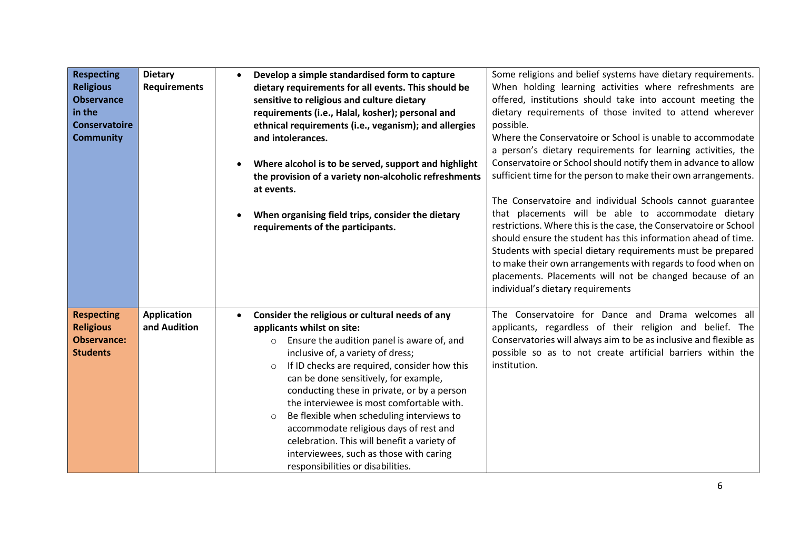| <b>Respecting</b><br><b>Religious</b><br><b>Observance</b><br>in the<br><b>Conservatoire</b><br><b>Community</b> | <b>Dietary</b><br><b>Requirements</b> | $\bullet$<br>$\bullet$ | Develop a simple standardised form to capture<br>dietary requirements for all events. This should be<br>sensitive to religious and culture dietary<br>requirements (i.e., Halal, kosher); personal and<br>ethnical requirements (i.e., veganism); and allergies<br>and intolerances.<br>Where alcohol is to be served, support and highlight<br>the provision of a variety non-alcoholic refreshments<br>at events.<br>When organising field trips, consider the dietary<br>requirements of the participants.                                                                                                | Some religions and belief systems have dietary requirements.<br>When holding learning activities where refreshments are<br>offered, institutions should take into account meeting the<br>dietary requirements of those invited to attend wherever<br>possible.<br>Where the Conservatoire or School is unable to accommodate<br>a person's dietary requirements for learning activities, the<br>Conservatoire or School should notify them in advance to allow<br>sufficient time for the person to make their own arrangements.<br>The Conservatoire and individual Schools cannot guarantee<br>that placements will be able to accommodate dietary<br>restrictions. Where this is the case, the Conservatoire or School<br>should ensure the student has this information ahead of time.<br>Students with special dietary requirements must be prepared<br>to make their own arrangements with regards to food when on<br>placements. Placements will not be changed because of an<br>individual's dietary requirements |
|------------------------------------------------------------------------------------------------------------------|---------------------------------------|------------------------|--------------------------------------------------------------------------------------------------------------------------------------------------------------------------------------------------------------------------------------------------------------------------------------------------------------------------------------------------------------------------------------------------------------------------------------------------------------------------------------------------------------------------------------------------------------------------------------------------------------|---------------------------------------------------------------------------------------------------------------------------------------------------------------------------------------------------------------------------------------------------------------------------------------------------------------------------------------------------------------------------------------------------------------------------------------------------------------------------------------------------------------------------------------------------------------------------------------------------------------------------------------------------------------------------------------------------------------------------------------------------------------------------------------------------------------------------------------------------------------------------------------------------------------------------------------------------------------------------------------------------------------------------|
| <b>Respecting</b><br><b>Religious</b><br><b>Observance:</b><br><b>Students</b>                                   | <b>Application</b><br>and Audition    |                        | Consider the religious or cultural needs of any<br>applicants whilst on site:<br>Ensure the audition panel is aware of, and<br>$\circ$<br>inclusive of, a variety of dress;<br>If ID checks are required, consider how this<br>$\circ$<br>can be done sensitively, for example,<br>conducting these in private, or by a person<br>the interviewee is most comfortable with.<br>Be flexible when scheduling interviews to<br>$\circ$<br>accommodate religious days of rest and<br>celebration. This will benefit a variety of<br>interviewees, such as those with caring<br>responsibilities or disabilities. | The Conservatoire for Dance and Drama welcomes all<br>applicants, regardless of their religion and belief. The<br>Conservatories will always aim to be as inclusive and flexible as<br>possible so as to not create artificial barriers within the<br>institution.                                                                                                                                                                                                                                                                                                                                                                                                                                                                                                                                                                                                                                                                                                                                                        |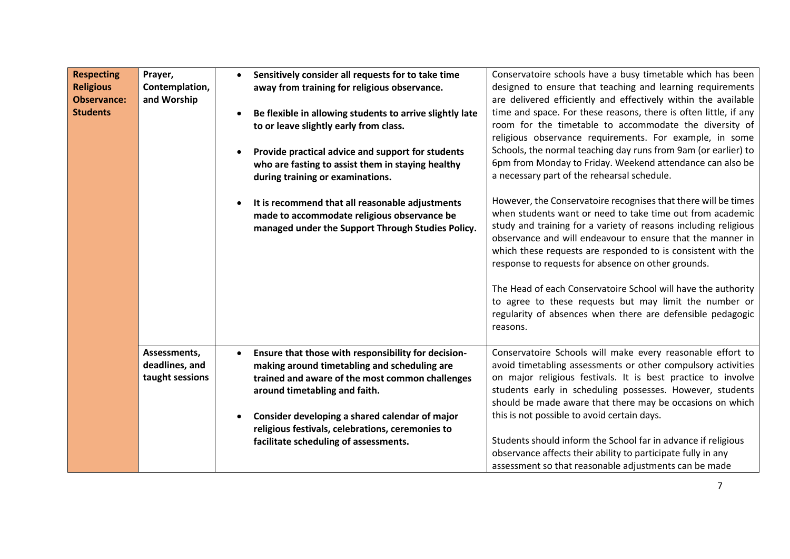| <b>Respecting</b><br><b>Religious</b><br><b>Observance:</b><br><b>Students</b> | Prayer,<br>Contemplation,<br>and Worship          | $\bullet$ | Sensitively consider all requests for to take time<br>away from training for religious observance.<br>Be flexible in allowing students to arrive slightly late<br>to or leave slightly early from class.<br>Provide practical advice and support for students<br>who are fasting to assist them in staying healthy<br>during training or examinations.<br>It is recommend that all reasonable adjustments<br>made to accommodate religious observance be<br>managed under the Support Through Studies Policy. | Conservatoire schools have a busy timetable which has been<br>designed to ensure that teaching and learning requirements<br>are delivered efficiently and effectively within the available<br>time and space. For these reasons, there is often little, if any<br>room for the timetable to accommodate the diversity of<br>religious observance requirements. For example, in some<br>Schools, the normal teaching day runs from 9am (or earlier) to<br>6pm from Monday to Friday. Weekend attendance can also be<br>a necessary part of the rehearsal schedule.<br>However, the Conservatoire recognises that there will be times<br>when students want or need to take time out from academic<br>study and training for a variety of reasons including religious<br>observance and will endeavour to ensure that the manner in<br>which these requests are responded to is consistent with the<br>response to requests for absence on other grounds.<br>The Head of each Conservatoire School will have the authority<br>to agree to these requests but may limit the number or<br>regularity of absences when there are defensible pedagogic<br>reasons. |
|--------------------------------------------------------------------------------|---------------------------------------------------|-----------|---------------------------------------------------------------------------------------------------------------------------------------------------------------------------------------------------------------------------------------------------------------------------------------------------------------------------------------------------------------------------------------------------------------------------------------------------------------------------------------------------------------|--------------------------------------------------------------------------------------------------------------------------------------------------------------------------------------------------------------------------------------------------------------------------------------------------------------------------------------------------------------------------------------------------------------------------------------------------------------------------------------------------------------------------------------------------------------------------------------------------------------------------------------------------------------------------------------------------------------------------------------------------------------------------------------------------------------------------------------------------------------------------------------------------------------------------------------------------------------------------------------------------------------------------------------------------------------------------------------------------------------------------------------------------------------|
|                                                                                | Assessments,<br>deadlines, and<br>taught sessions | $\bullet$ | Ensure that those with responsibility for decision-<br>making around timetabling and scheduling are<br>trained and aware of the most common challenges<br>around timetabling and faith.<br>Consider developing a shared calendar of major<br>religious festivals, celebrations, ceremonies to<br>facilitate scheduling of assessments.                                                                                                                                                                        | Conservatoire Schools will make every reasonable effort to<br>avoid timetabling assessments or other compulsory activities<br>on major religious festivals. It is best practice to involve<br>students early in scheduling possesses. However, students<br>should be made aware that there may be occasions on which<br>this is not possible to avoid certain days.<br>Students should inform the School far in advance if religious<br>observance affects their ability to participate fully in any<br>assessment so that reasonable adjustments can be made                                                                                                                                                                                                                                                                                                                                                                                                                                                                                                                                                                                                |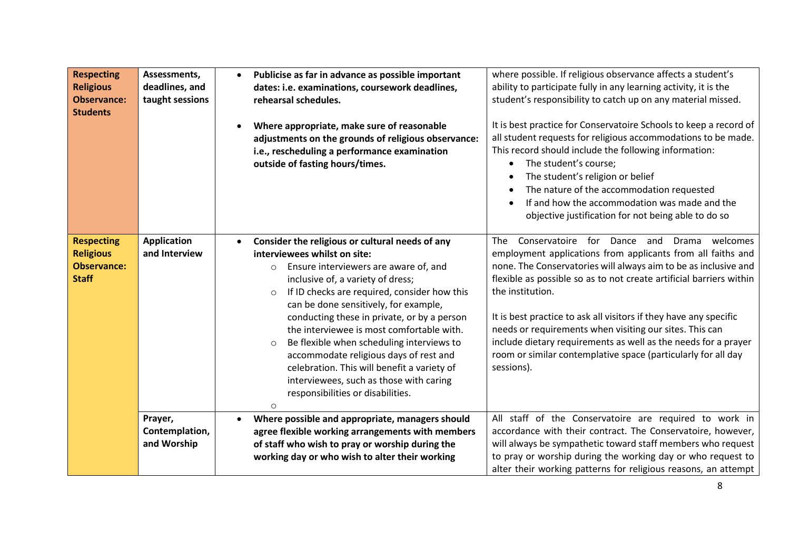| <b>Respecting</b><br><b>Religious</b><br><b>Observance:</b><br><b>Students</b> | Assessments,<br>deadlines, and<br>taught sessions | $\bullet$ | Publicise as far in advance as possible important<br>dates: i.e. examinations, coursework deadlines,<br>rehearsal schedules.<br>Where appropriate, make sure of reasonable<br>adjustments on the grounds of religious observance:<br>i.e., rescheduling a performance examination<br>outside of fasting hours/times.                                                                                                                                                                                                                                                                                                 | where possible. If religious observance affects a student's<br>ability to participate fully in any learning activity, it is the<br>student's responsibility to catch up on any material missed.<br>It is best practice for Conservatoire Schools to keep a record of<br>all student requests for religious accommodations to be made.<br>This record should include the following information:<br>The student's course;<br>The student's religion or belief<br>The nature of the accommodation requested<br>If and how the accommodation was made and the<br>objective justification for not being able to do so |
|--------------------------------------------------------------------------------|---------------------------------------------------|-----------|----------------------------------------------------------------------------------------------------------------------------------------------------------------------------------------------------------------------------------------------------------------------------------------------------------------------------------------------------------------------------------------------------------------------------------------------------------------------------------------------------------------------------------------------------------------------------------------------------------------------|------------------------------------------------------------------------------------------------------------------------------------------------------------------------------------------------------------------------------------------------------------------------------------------------------------------------------------------------------------------------------------------------------------------------------------------------------------------------------------------------------------------------------------------------------------------------------------------------------------------|
| <b>Respecting</b><br><b>Religious</b><br><b>Observance:</b><br><b>Staff</b>    | <b>Application</b><br>and Interview               | $\bullet$ | Consider the religious or cultural needs of any<br>interviewees whilst on site:<br>Ensure interviewers are aware of, and<br>$\circ$<br>inclusive of, a variety of dress;<br>If ID checks are required, consider how this<br>$\circ$<br>can be done sensitively, for example,<br>conducting these in private, or by a person<br>the interviewee is most comfortable with.<br>Be flexible when scheduling interviews to<br>$\circ$<br>accommodate religious days of rest and<br>celebration. This will benefit a variety of<br>interviewees, such as those with caring<br>responsibilities or disabilities.<br>$\circ$ | Conservatoire for Dance and<br>welcomes<br><b>The</b><br>Drama<br>employment applications from applicants from all faiths and<br>none. The Conservatories will always aim to be as inclusive and<br>flexible as possible so as to not create artificial barriers within<br>the institution.<br>It is best practice to ask all visitors if they have any specific<br>needs or requirements when visiting our sites. This can<br>include dietary requirements as well as the needs for a prayer<br>room or similar contemplative space (particularly for all day<br>sessions).                                     |
|                                                                                | Prayer,<br>Contemplation,<br>and Worship          |           | Where possible and appropriate, managers should<br>agree flexible working arrangements with members<br>of staff who wish to pray or worship during the<br>working day or who wish to alter their working                                                                                                                                                                                                                                                                                                                                                                                                             | All staff of the Conservatoire are required to work in<br>accordance with their contract. The Conservatoire, however,<br>will always be sympathetic toward staff members who request<br>to pray or worship during the working day or who request to<br>alter their working patterns for religious reasons, an attempt                                                                                                                                                                                                                                                                                            |